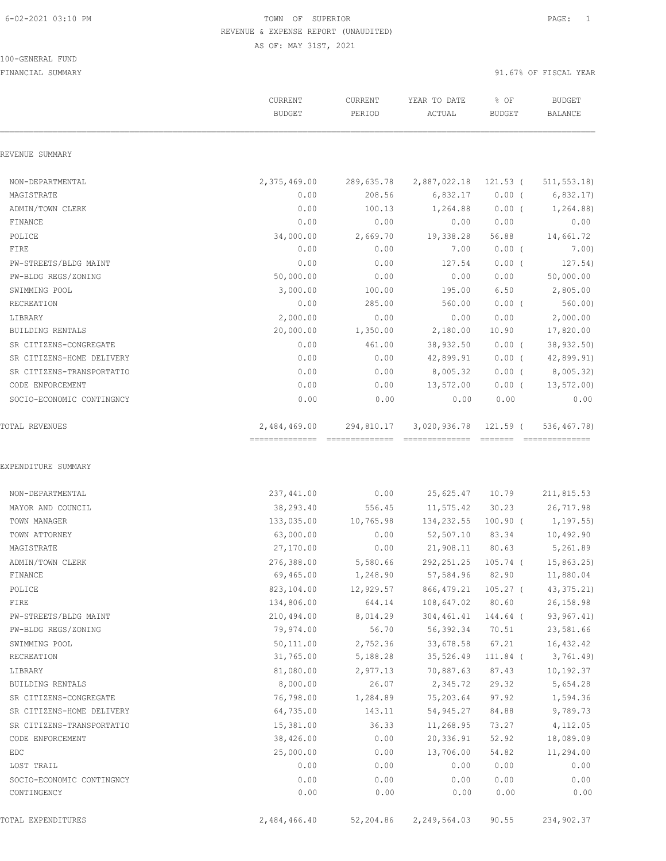#### 100-GENERAL FUND

|                                         | CURRENT<br><b>BUDGET</b> | CURRENT<br>PERIOD    | YEAR TO DATE<br>ACTUAL | % OF<br><b>BUDGET</b> | <b>BUDGET</b><br><b>BALANCE</b> |
|-----------------------------------------|--------------------------|----------------------|------------------------|-----------------------|---------------------------------|
| REVENUE SUMMARY                         |                          |                      |                        |                       |                                 |
| NON-DEPARTMENTAL                        | 2,375,469.00             | 289,635.78           | 2,887,022.18 121.53 (  |                       | 511, 553.18                     |
| MAGISTRATE                              | 0.00                     | 208.56               | 6,832.17               | $0.00$ (              | 6,832.17                        |
| ADMIN/TOWN CLERK                        | 0.00                     | 100.13               | 1,264.88               | $0.00$ (              | 1,264.88)                       |
| FINANCE                                 | 0.00                     | 0.00                 | 0.00                   | 0.00                  | 0.00                            |
| POLICE                                  | 34,000.00                | 2,669.70             | 19,338.28              | 56.88                 | 14,661.72                       |
| FIRE                                    | 0.00                     | 0.00                 | 7.00                   | $0.00$ (              | 7.00)                           |
| PW-STREETS/BLDG MAINT                   | 0.00                     | 0.00                 | 127.54                 | $0.00$ (              | 127.54)                         |
| PW-BLDG REGS/ZONING                     | 50,000.00                | 0.00                 | 0.00                   | 0.00                  | 50,000.00                       |
| SWIMMING POOL                           | 3,000.00                 | 100.00               | 195.00                 | 6.50                  | 2,805.00                        |
| RECREATION                              | 0.00                     | 285.00               | 560.00                 | $0.00$ (              | 560.00                          |
| LIBRARY                                 | 2,000.00                 | 0.00                 | 0.00                   | 0.00                  | 2,000.00                        |
| BUILDING RENTALS                        | 20,000.00                | 1,350.00             | 2,180.00               | 10.90                 | 17,820.00                       |
| SR CITIZENS-CONGREGATE                  | 0.00                     | 461.00               | 38,932.50              | $0.00$ (              | 38,932.50)                      |
| SR CITIZENS-HOME DELIVERY               | 0.00                     | 0.00                 | 42,899.91              | $0.00$ (              | 42,899.91)                      |
| SR CITIZENS-TRANSPORTATIO               | 0.00                     | 0.00                 | 8,005.32               | $0.00$ (              | 8,005.32)                       |
| CODE ENFORCEMENT                        | 0.00                     | 0.00                 | 13,572.00              | $0.00$ (              | 13,572.00                       |
| SOCIO-ECONOMIC CONTINGNCY               | 0.00                     | 0.00                 | 0.00                   | 0.00                  | 0.00                            |
| TOTAL REVENUES                          | 2,484,469.00             | 294,810.17           | 3,020,936.78           | 121.59 (              | 536,467.78)                     |
| EXPENDITURE SUMMARY<br>NON-DEPARTMENTAL | 237,441.00               | 0.00                 | 25,625.47 10.79        |                       | 211,815.53                      |
| MAYOR AND COUNCIL                       | 38,293.40                | 556.45               | 11,575.42              | 30.23                 | 26,717.98                       |
| TOWN MANAGER                            | 133,035.00               | 10,765.98            | 134,232.55 100.90 (    |                       | 1,197.55)                       |
| TOWN ATTORNEY                           | 63,000.00                | 0.00                 | 52,507.10              | 83.34                 | 10,492.90                       |
| MAGISTRATE                              | 27,170.00                | 0.00                 | 21,908.11              | 80.63                 | 5,261.89                        |
| ADMIN/TOWN CLERK                        | 276,388.00               |                      | 292, 251.25            | $105.74$ (            | 15,863.25)                      |
| FINANCE                                 | 69,465.00                | 5,580.66<br>1,248.90 | 57,584.96              | 82.90                 | 11,880.04                       |
| POLICE                                  | 823,104.00               | 12,929.57            | 866, 479.21            | 105.27 (              | 43, 375.21                      |
| FIRE                                    | 134,806.00               | 644.14               | 108,647.02             | 80.60                 | 26,158.98                       |
| PW-STREETS/BLDG MAINT                   | 210,494.00               | 8,014.29             | 304,461.41             | 144.64 (              | 93, 967.41)                     |
| PW-BLDG REGS/ZONING                     | 79,974.00                | 56.70                | 56,392.34              | 70.51                 | 23,581.66                       |
| SWIMMING POOL                           | 50,111.00                | 2,752.36             | 33,678.58              | 67.21                 | 16,432.42                       |
| RECREATION                              | 31,765.00                | 5,188.28             | 35,526.49              | $111.84$ (            | 3,761.49)                       |
| LIBRARY                                 | 81,080.00                | 2,977.13             | 70,887.63              | 87.43                 | 10,192.37                       |
| BUILDING RENTALS                        | 8,000.00                 | 26.07                | 2,345.72               | 29.32                 | 5,654.28                        |
| SR CITIZENS-CONGREGATE                  | 76,798.00                | 1,284.89             | 75,203.64              | 97.92                 | 1,594.36                        |
| SR CITIZENS-HOME DELIVERY               | 64,735.00                | 143.11               | 54,945.27              | 84.88                 | 9,789.73                        |
| SR CITIZENS-TRANSPORTATIO               | 15,381.00                | 36.33                | 11,268.95              | 73.27                 | 4,112.05                        |
| CODE ENFORCEMENT                        | 38,426.00                | 0.00                 | 20,336.91              | 52.92                 | 18,089.09                       |
| EDC                                     | 25,000.00                | 0.00                 | 13,706.00              | 54.82                 | 11,294.00                       |
| LOST TRAIL                              | 0.00                     | 0.00                 | 0.00                   | 0.00                  | 0.00                            |
| SOCIO-ECONOMIC CONTINGNCY               | 0.00                     | 0.00                 | 0.00                   | 0.00                  | 0.00                            |
| CONTINGENCY                             | 0.00                     | 0.00                 | 0.00                   | 0.00                  | 0.00                            |
|                                         |                          |                      |                        |                       |                                 |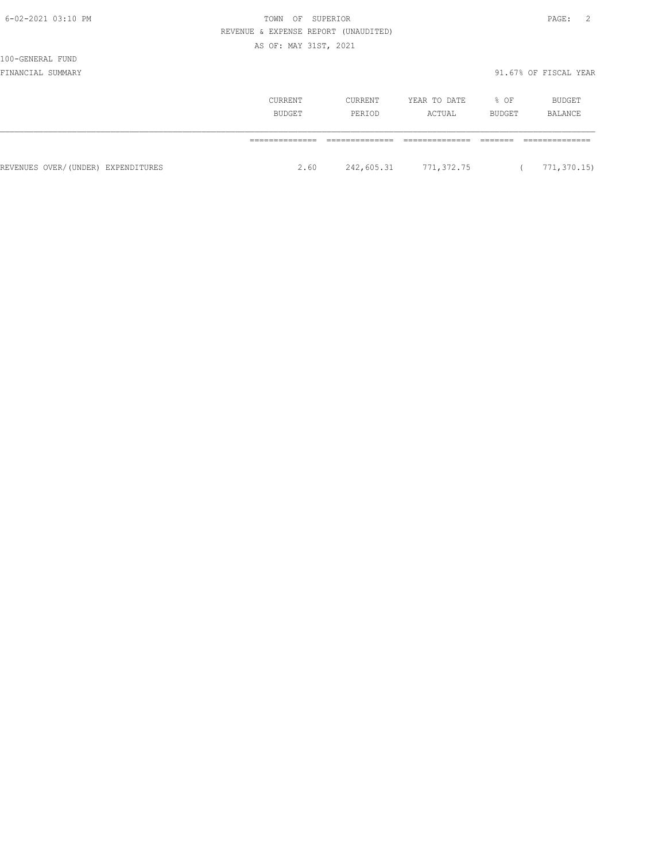|                                    | REVENUE & EXPENSE REPORT (UNAUDITED) |         |                       |        |                       |
|------------------------------------|--------------------------------------|---------|-----------------------|--------|-----------------------|
|                                    | AS OF: MAY 31ST, 2021                |         |                       |        |                       |
| 100-GENERAL FUND                   |                                      |         |                       |        |                       |
| FINANCIAL SUMMARY                  |                                      |         |                       |        | 91.67% OF FISCAL YEAR |
|                                    | CURRENT                              | CURRENT | YEAR TO DATE          | % OF   | BUDGET                |
|                                    | BUDGET                               | PERIOD  | ACTUAL                | BUDGET | BALANCE               |
|                                    |                                      |         |                       |        |                       |
| REVENUES OVER/(UNDER) EXPENDITURES | 2.60                                 |         | 242,605.31 771,372.75 |        | 771,370.15)           |

6-02-2021 03:10 PM TOWN OF SUPERIOR PAGE: 2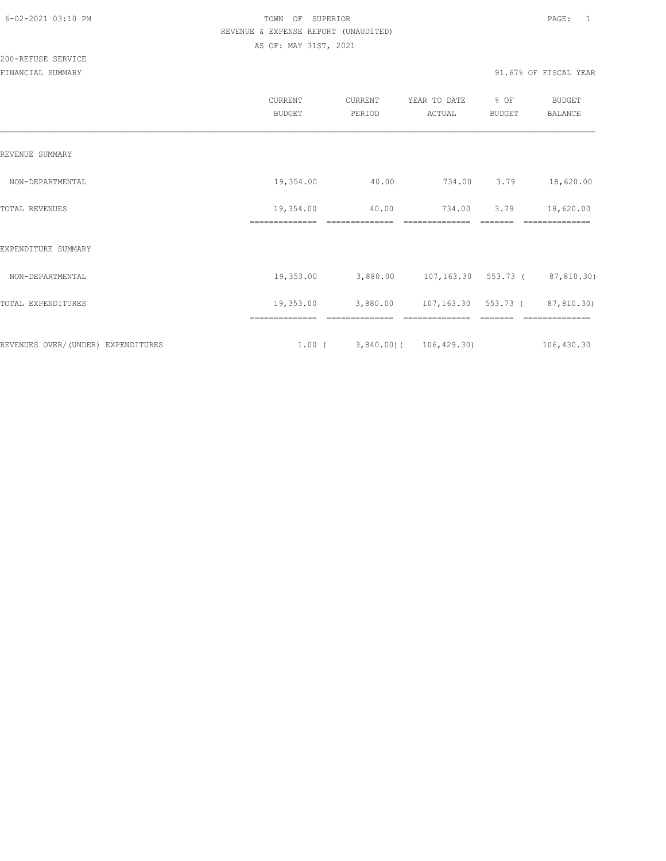200-REFUSE SERVICE

|                                    | CURRENT<br><b>BUDGET</b>    | CURRENT<br>PERIOD       | YEAR TO DATE<br>ACTUAL        | % OF<br><b>BUDGET</b> | <b>BUDGET</b><br><b>BALANCE</b> |
|------------------------------------|-----------------------------|-------------------------|-------------------------------|-----------------------|---------------------------------|
| REVENUE SUMMARY                    |                             |                         |                               |                       |                                 |
| NON-DEPARTMENTAL                   | 19,354.00                   | 40.00                   | 734.00                        | 3.79                  | 18,620.00                       |
| TOTAL REVENUES                     | 19,354.00<br>============== | 40.00<br>============== | 734.00<br>==============      | 3.79<br>-------       | 18,620.00<br>==============     |
| EXPENDITURE SUMMARY                |                             |                         |                               |                       |                                 |
| NON-DEPARTMENTAL                   | 19,353.00                   | 3,880.00                | 107,163.30 553.73 (87,810.30) |                       |                                 |
| TOTAL EXPENDITURES                 | 19,353.00                   | 3,880.00                | 107,163.30 553.73 (           |                       | 87,810.30)                      |
| REVENUES OVER/(UNDER) EXPENDITURES | ==============<br>$1.00$ (  | ==============          | $3,840.00$ ( 106,429.30)      |                       | --------------<br>106,430.30    |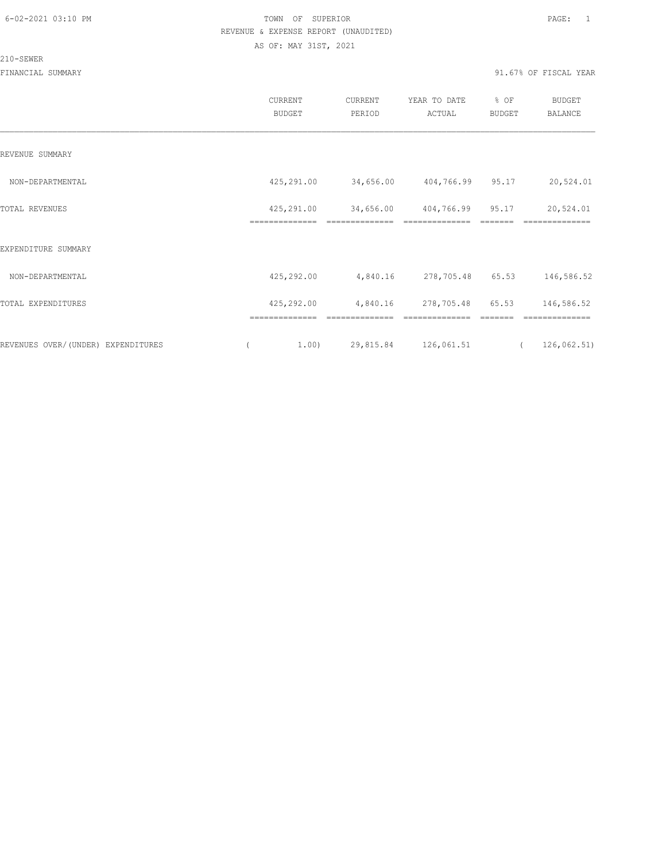#### 210-SEWER

|                                    | CURRENT<br>BUDGET            | CURRENT<br>PERIOD           | YEAR TO DATE<br>ACTUAL       | % OF<br>BUDGET        | <b>BUDGET</b><br><b>BALANCE</b> |  |
|------------------------------------|------------------------------|-----------------------------|------------------------------|-----------------------|---------------------------------|--|
| REVENUE SUMMARY                    |                              |                             |                              |                       |                                 |  |
| NON-DEPARTMENTAL                   | 425,291.00                   | 34,656.00                   | 404,766.99 95.17             |                       | 20,524.01                       |  |
| TOTAL REVENUES                     | 425,291.00<br>============== | 34,656.00                   | 404,766.99 95.17             |                       | 20,524.01<br>==========         |  |
| EXPENDITURE SUMMARY                |                              |                             |                              |                       |                                 |  |
| NON-DEPARTMENTAL                   | 425,292.00                   | 4,840.16                    | 278,705.48 65.53             |                       | 146,586.52                      |  |
| TOTAL EXPENDITURES                 | 425,292.00                   | 4,840.16                    | 278,705.48                   | 65.53                 | 146,586.52                      |  |
| REVENUES OVER/(UNDER) EXPENDITURES | ==============<br>1.00)      | --------------<br>29,815.84 | --------------<br>126,061.51 | -------<br>$\sqrt{2}$ | --------------<br>126,062.51)   |  |
|                                    |                              |                             |                              |                       |                                 |  |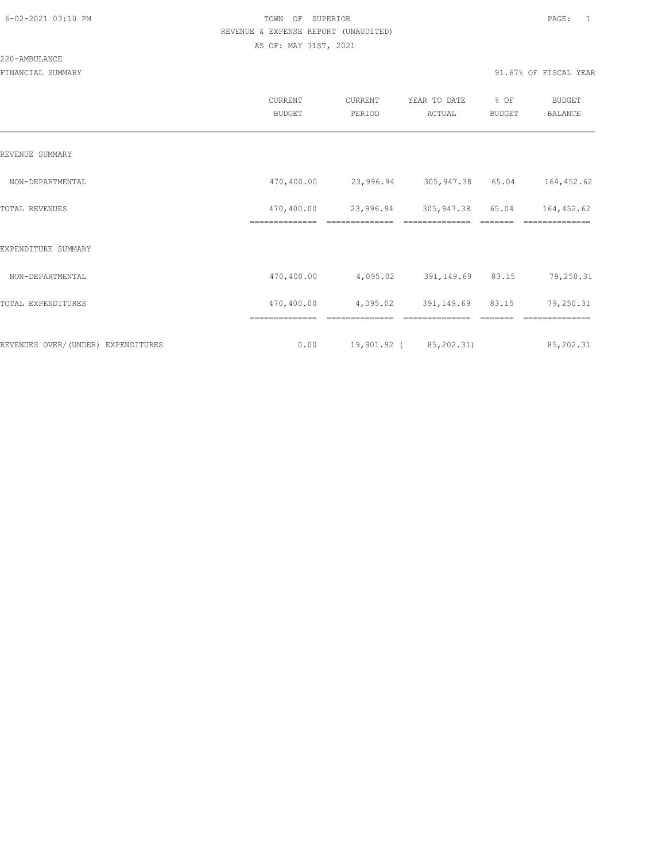|                                    | CURRENT<br><b>BUDGET</b> | CURRENT<br>PERIOD          | YEAR TO DATE<br>ACTUAL | % OF<br>BUDGET | BUDGET<br><b>BALANCE</b> |
|------------------------------------|--------------------------|----------------------------|------------------------|----------------|--------------------------|
| REVENUE SUMMARY                    |                          |                            |                        |                |                          |
| NON-DEPARTMENTAL                   | 470,400.00               | 23,996.94 305,947.38 65.04 |                        |                | 164,452.62               |
| TOTAL REVENUES                     | 470,400.00               | 23,996.94                  | 305,947.38 65.04       |                | 164,452.62               |
| EXPENDITURE SUMMARY                |                          |                            |                        |                |                          |
| NON-DEPARTMENTAL                   | 470,400.00               | 4,095.02                   | 391,149.69 83.15       |                | 79,250.31                |
| TOTAL EXPENDITURES                 | 470,400.00               | 4,095.02                   | 391,149.69 83.15       |                | 79,250.31                |
|                                    | ==============           | --------------             | ==============         |                | ==============           |
| REVENUES OVER/(UNDER) EXPENDITURES | 0.00                     |                            | 19,901.92 (85,202.31)  |                | 85,202.31                |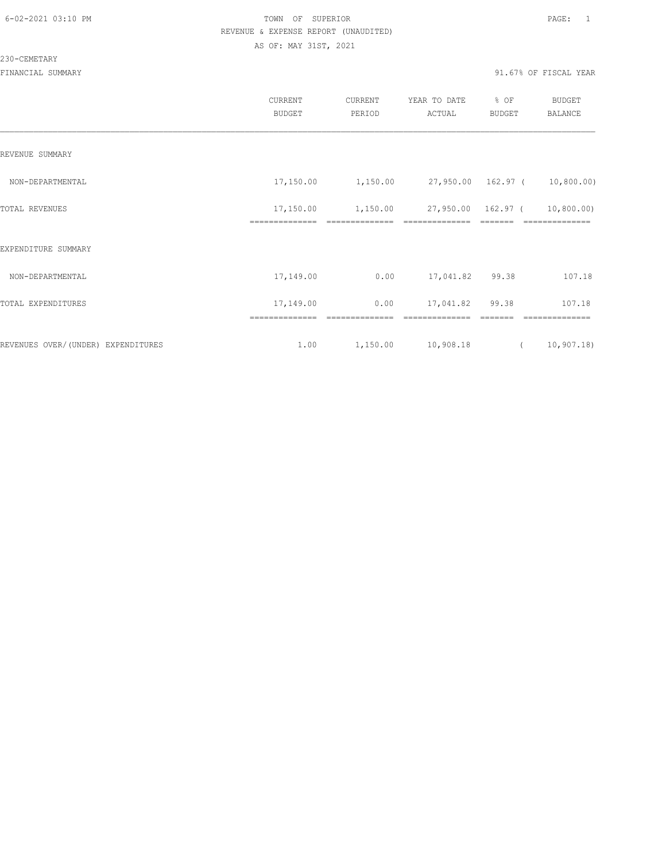|                                    | CURRENT<br><b>BUDGET</b>    | CURRENT<br>PERIOD                                                                                                                                                                                                                                                                                                                                                                                                                                                                                        | YEAR TO DATE<br>ACTUAL        | % OF<br><b>BUDGET</b>                                                                                                                                                                                                                                                                                                                                                                                                                                                                                                                          | <b>BUDGET</b><br>BALANCE     |
|------------------------------------|-----------------------------|----------------------------------------------------------------------------------------------------------------------------------------------------------------------------------------------------------------------------------------------------------------------------------------------------------------------------------------------------------------------------------------------------------------------------------------------------------------------------------------------------------|-------------------------------|------------------------------------------------------------------------------------------------------------------------------------------------------------------------------------------------------------------------------------------------------------------------------------------------------------------------------------------------------------------------------------------------------------------------------------------------------------------------------------------------------------------------------------------------|------------------------------|
| REVENUE SUMMARY                    |                             |                                                                                                                                                                                                                                                                                                                                                                                                                                                                                                          |                               |                                                                                                                                                                                                                                                                                                                                                                                                                                                                                                                                                |                              |
| NON-DEPARTMENTAL                   | 17,150.00                   | 1,150.00                                                                                                                                                                                                                                                                                                                                                                                                                                                                                                 | 27,950.00 162.97 ( 10,800.00) |                                                                                                                                                                                                                                                                                                                                                                                                                                                                                                                                                |                              |
| TOTAL REVENUES                     | 17,150.00<br>============== | 1,150.00<br>$\begin{array}{c} \multicolumn{2}{c} {\textbf{1}} & \multicolumn{2}{c} {\textbf{2}} & \multicolumn{2}{c} {\textbf{3}} & \multicolumn{2}{c} {\textbf{4}} \\ \multicolumn{2}{c} {\textbf{5}} & \multicolumn{2}{c} {\textbf{6}} & \multicolumn{2}{c} {\textbf{7}} & \multicolumn{2}{c} {\textbf{8}} & \multicolumn{2}{c} {\textbf{9}} \\ \multicolumn{2}{c} {\textbf{1}} & \multicolumn{2}{c} {\textbf{1}} & \multicolumn{2}{c} {\textbf{1}} & \multicolumn{2}{c} {\textbf{1}} & \multicolumn{$ | ==============                | 27,950.00 162.97 (<br>$\qquad \qquad = \qquad \qquad = \qquad \qquad = \qquad \qquad = \qquad \qquad = \qquad \qquad = \qquad \qquad = \qquad \qquad = \qquad \qquad = \qquad \qquad = \qquad \qquad = \qquad \qquad = \qquad \qquad = \qquad \qquad = \qquad \qquad = \qquad \qquad = \qquad \qquad = \qquad \qquad = \qquad \qquad = \qquad \qquad = \qquad \qquad = \qquad \qquad = \qquad \qquad = \qquad \qquad = \qquad \qquad = \qquad \qquad = \qquad \qquad = \qquad \qquad = \qquad \qquad = \qquad \qquad = \qquad \qquad = \qquad$ | 10,800.00)<br>============== |
| EXPENDITURE SUMMARY                |                             |                                                                                                                                                                                                                                                                                                                                                                                                                                                                                                          |                               |                                                                                                                                                                                                                                                                                                                                                                                                                                                                                                                                                |                              |
| NON-DEPARTMENTAL                   | 17,149.00                   | 0.00                                                                                                                                                                                                                                                                                                                                                                                                                                                                                                     | 17,041.82 99.38               |                                                                                                                                                                                                                                                                                                                                                                                                                                                                                                                                                | 107.18                       |
| TOTAL EXPENDITURES                 | 17,149.00                   | 0.00                                                                                                                                                                                                                                                                                                                                                                                                                                                                                                     | 17,041.82                     | 99.38                                                                                                                                                                                                                                                                                                                                                                                                                                                                                                                                          | 107.18                       |
|                                    | ==============              | ==============                                                                                                                                                                                                                                                                                                                                                                                                                                                                                           | ==============                | =======                                                                                                                                                                                                                                                                                                                                                                                                                                                                                                                                        | ==============               |
| REVENUES OVER/(UNDER) EXPENDITURES | 1.00                        | 1,150.00                                                                                                                                                                                                                                                                                                                                                                                                                                                                                                 | 10,908.18                     | $\left($                                                                                                                                                                                                                                                                                                                                                                                                                                                                                                                                       | 10,907.18                    |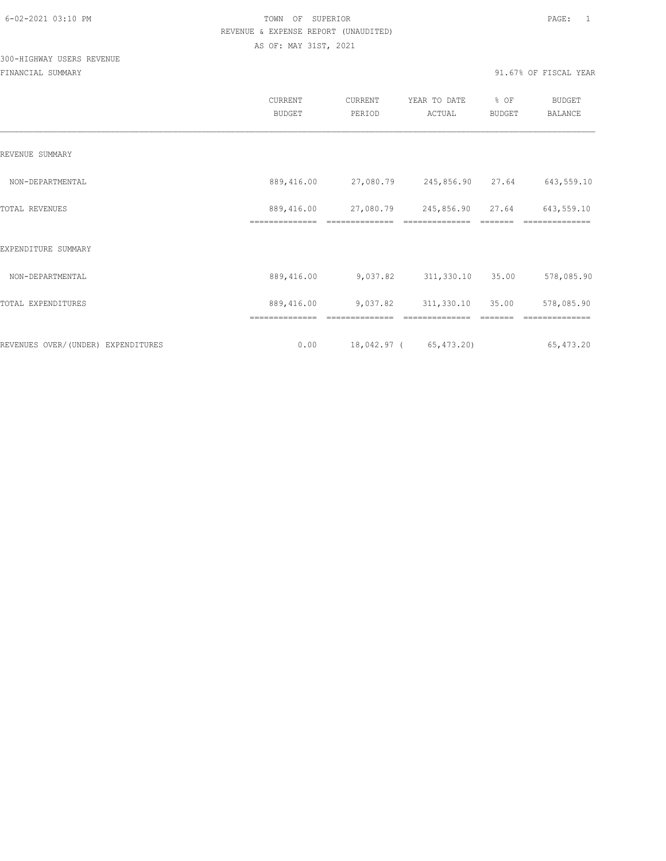# 300-HIGHWAY USERS REVENUE

|                                     | <b>CURRENT</b><br><b>BUDGET</b> | CURRENT<br>PERIOD | YEAR TO DATE<br>ACTUAL                       | % OF<br><b>BUDGET</b> | <b>BUDGET</b><br>BALANCE |
|-------------------------------------|---------------------------------|-------------------|----------------------------------------------|-----------------------|--------------------------|
| REVENUE SUMMARY                     |                                 |                   |                                              |                       |                          |
| NON-DEPARTMENTAL                    | 889,416.00                      |                   | 27,080.79 245,856.90 27.64                   |                       | 643,559.10               |
| TOTAL REVENUES                      | 889,416.00                      |                   | 27,080.79 245,856.90 27.64<br>============== |                       | 643,559.10               |
| EXPENDITURE SUMMARY                 |                                 |                   |                                              |                       |                          |
| NON-DEPARTMENTAL                    | 889,416.00                      | 9,037.82          | 311,330.10                                   | 35.00                 | 578,085.90               |
| TOTAL EXPENDITURES                  | 889,416.00                      | 9,037.82          | 311,330.10                                   | 35.00                 | 578,085.90               |
|                                     | ==============                  |                   |                                              |                       |                          |
| REVENUES OVER/ (UNDER) EXPENDITURES | 0.00                            |                   | 18,042.97 (65,473.20)                        |                       | 65, 473.20               |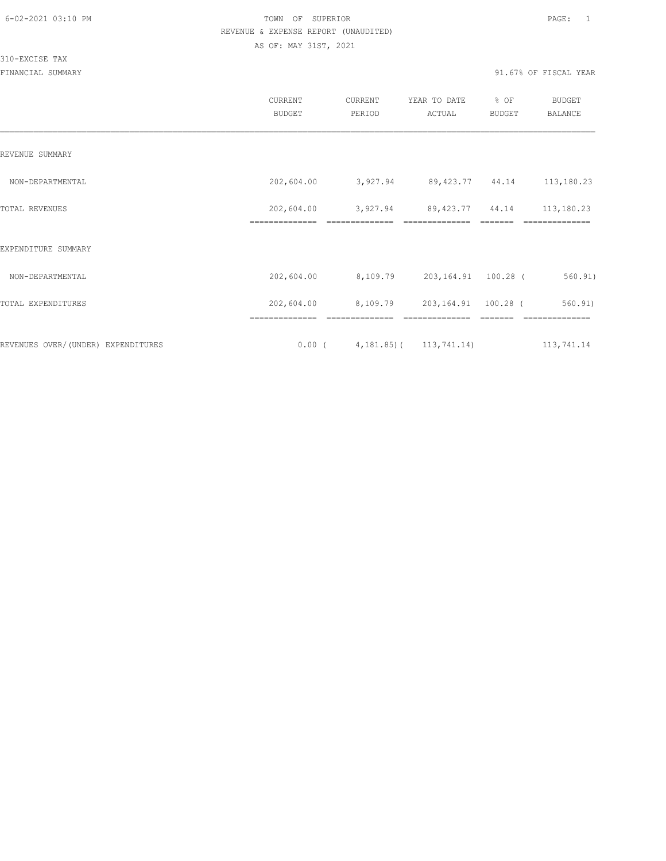310-EXCISE TAX

|                                    | CURRENT<br><b>BUDGET</b>     | CURRENT<br>PERIOD                                        | YEAR TO DATE<br>ACTUAL               | % OF<br><b>BUDGET</b> | <b>BUDGET</b><br><b>BALANCE</b> |
|------------------------------------|------------------------------|----------------------------------------------------------|--------------------------------------|-----------------------|---------------------------------|
| REVENUE SUMMARY                    |                              |                                                          |                                      |                       |                                 |
| NON-DEPARTMENTAL                   | 202,604.00                   | 3,927.94                                                 | 89, 423. 77 44. 14                   |                       | 113,180.23                      |
| TOTAL REVENUES                     | 202,604.00<br>============== | 3,927.94                                                 | 89, 423. 77 44. 14<br>============== |                       | 113,180.23<br>=========         |
| EXPENDITURE SUMMARY                |                              |                                                          |                                      |                       |                                 |
| NON-DEPARTMENTAL                   | 202,604.00                   | 8,109.79 203,164.91 100.28 (                             |                                      |                       | 560.91)                         |
| TOTAL EXPENDITURES                 | 202,604.00                   | 8,109.79                                                 | 203,164.91 100.28 (                  |                       | 560.91)                         |
| REVENUES OVER/(UNDER) EXPENDITURES | ==============               | ==============<br>$0.00$ ( $4,181.85$ ) ( $113,741.14$ ) | ==============                       |                       | --------------<br>113,741.14    |
|                                    |                              |                                                          |                                      |                       |                                 |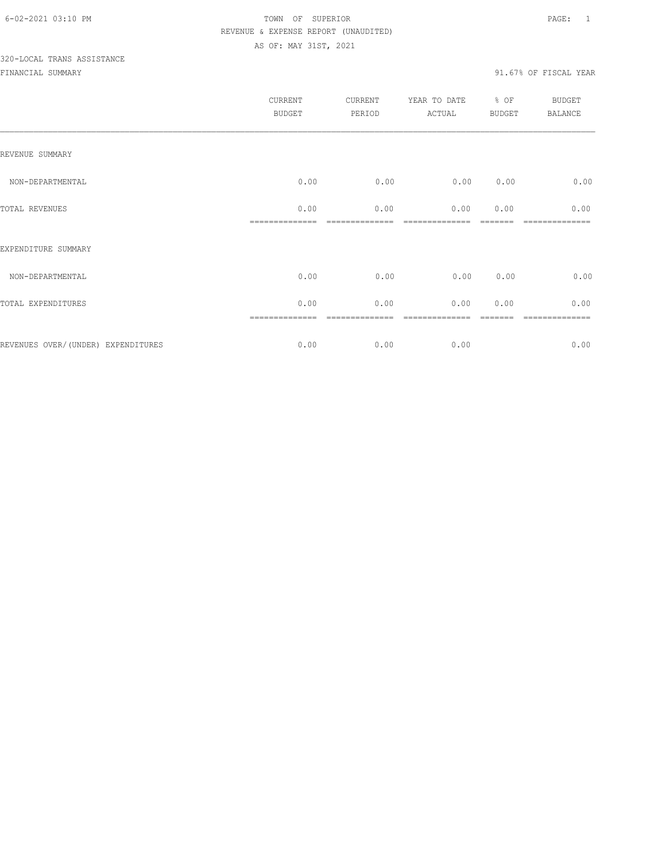# 320-LOCAL TRANS ASSISTANCE

|                                    | <b>CURRENT</b><br>BUDGET | CURRENT<br>PERIOD | YEAR TO DATE<br>ACTUAL | % OF<br><b>BUDGET</b> | <b>BUDGET</b><br><b>BALANCE</b> |
|------------------------------------|--------------------------|-------------------|------------------------|-----------------------|---------------------------------|
| REVENUE SUMMARY                    |                          |                   |                        |                       |                                 |
| NON-DEPARTMENTAL                   | 0.00                     | 0.00              | 0.00                   | 0.00                  | 0.00                            |
| TOTAL REVENUES                     | 0.00                     | 0.00              | 0.00                   | 0.00                  | 0.00                            |
| EXPENDITURE SUMMARY                |                          |                   |                        |                       |                                 |
| NON-DEPARTMENTAL                   | 0.00                     | 0.00              | 0.00                   | 0.00                  | 0.00                            |
| TOTAL EXPENDITURES                 | 0.00                     | 0.00              | 0.00                   | 0.00                  | 0.00                            |
| REVENUES OVER/(UNDER) EXPENDITURES | 0.00                     | 0.00              | 0.00                   |                       | 0.00                            |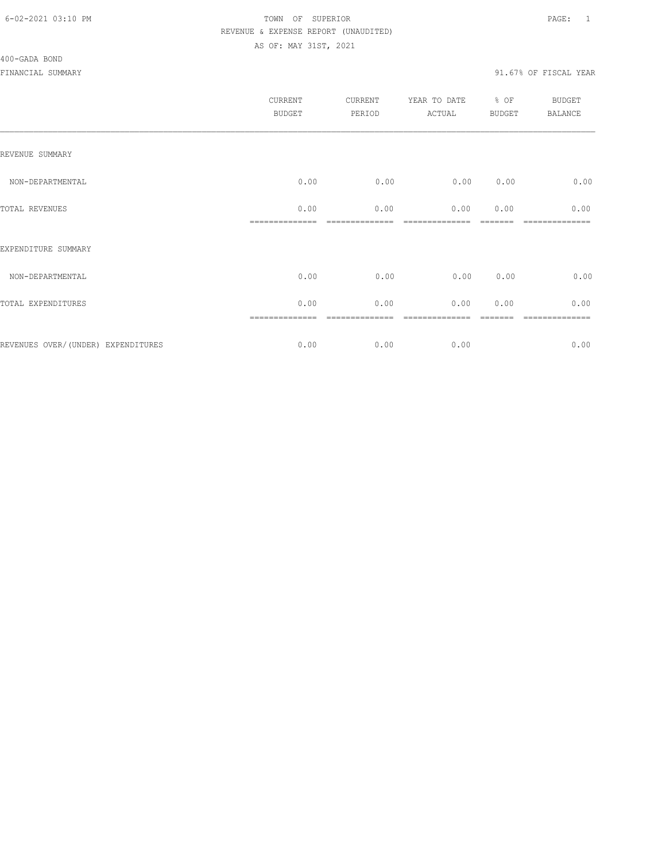|                                    | CURRENT<br>BUDGET | CURRENT<br>PERIOD | YEAR TO DATE<br>ACTUAL  | $8$ OF<br>BUDGET | BUDGET<br>BALANCE |
|------------------------------------|-------------------|-------------------|-------------------------|------------------|-------------------|
| REVENUE SUMMARY                    |                   |                   |                         |                  |                   |
| NON-DEPARTMENTAL                   | 0.00              | 0.00              | 0.00                    | 0.00             | 0.00              |
| TOTAL REVENUES                     | 0.00              | 0.00              | 0.00<br>--------------- | 0.00             | 0.00              |
| EXPENDITURE SUMMARY                |                   |                   |                         |                  |                   |
| NON-DEPARTMENTAL                   | 0.00              | 0.00              | 0.00                    | 0.00             | 0.00              |
| TOTAL EXPENDITURES                 | 0.00              | 0.00              | 0.00                    | 0.00             | 0.00              |
|                                    |                   |                   |                         |                  | 0.00              |
| REVENUES OVER/(UNDER) EXPENDITURES | 0.00              | 0.00              | 0.00                    |                  |                   |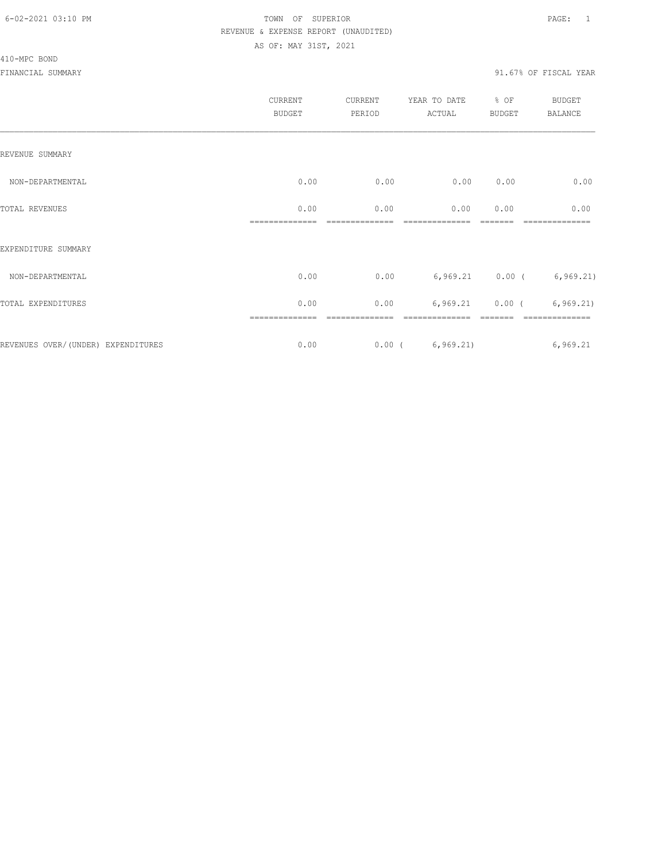|                                    | CURRENT<br><b>BUDGET</b> | CURRENT<br>PERIOD | YEAR TO DATE<br>ACTUAL | % OF<br><b>BUDGET</b> | BUDGET<br><b>BALANCE</b>    |
|------------------------------------|--------------------------|-------------------|------------------------|-----------------------|-----------------------------|
| REVENUE SUMMARY                    |                          |                   |                        |                       |                             |
| NON-DEPARTMENTAL                   | 0.00                     | 0.00              | 0.00                   | 0.00                  | 0.00                        |
| TOTAL REVENUES                     | 0.00                     | 0.00              | 0.00                   | 0.00                  | 0.00                        |
| EXPENDITURE SUMMARY                |                          |                   |                        |                       |                             |
| NON-DEPARTMENTAL                   | 0.00                     | 0.00              |                        | $6,969.21$ 0.00 (     | 6, 969.21)                  |
| TOTAL EXPENDITURES                 | 0.00                     | 0.00              |                        |                       | $6,969.21$ 0.00 ( 6,969.21) |
| REVENUES OVER/(UNDER) EXPENDITURES | 0.00                     |                   | 0.00(6, 969.21)        |                       | 6,969.21                    |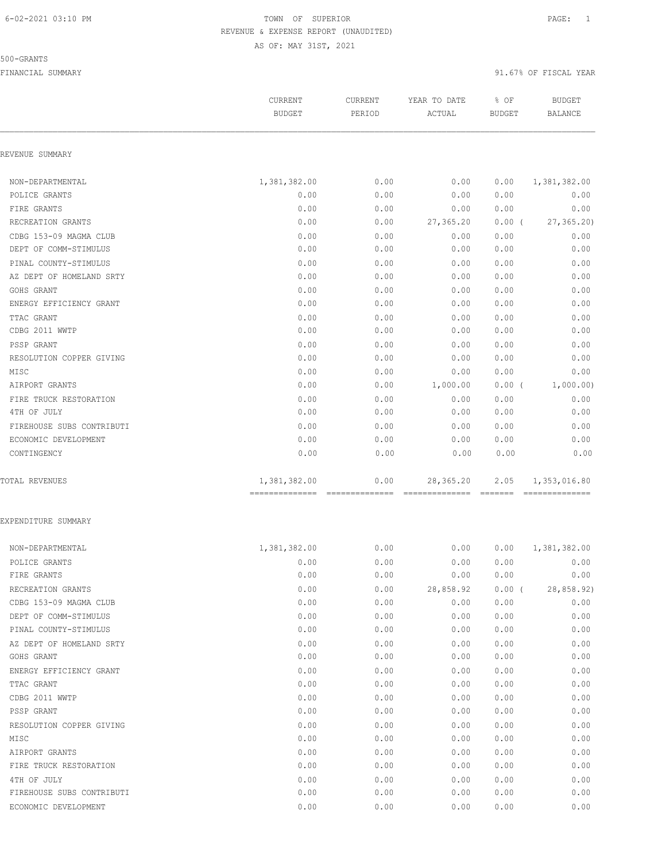#### 500-GRANTS

|                           | CURRENT<br><b>BUDGET</b>                        | CURRENT<br>PERIOD | YEAR TO DATE<br>ACTUAL | % OF<br><b>BUDGET</b> | <b>BUDGET</b><br>BALANCE |
|---------------------------|-------------------------------------------------|-------------------|------------------------|-----------------------|--------------------------|
| REVENUE SUMMARY           |                                                 |                   |                        |                       |                          |
| NON-DEPARTMENTAL          | 1,381,382.00                                    | 0.00              | 0.00                   | 0.00                  | 1,381,382.00             |
| POLICE GRANTS             | 0.00                                            | 0.00              | 0.00                   | 0.00                  | 0.00                     |
| FIRE GRANTS               | 0.00                                            | 0.00              | 0.00                   | 0.00                  | 0.00                     |
| RECREATION GRANTS         | 0.00                                            | 0.00              | 27,365.20              | $0.00$ (              | 27, 365.20               |
| CDBG 153-09 MAGMA CLUB    | 0.00                                            | 0.00              | 0.00                   | 0.00                  | 0.00                     |
| DEPT OF COMM-STIMULUS     | 0.00                                            | 0.00              | 0.00                   | 0.00                  | 0.00                     |
| PINAL COUNTY-STIMULUS     | 0.00                                            | 0.00              | 0.00                   | 0.00                  | 0.00                     |
| AZ DEPT OF HOMELAND SRTY  | 0.00                                            | 0.00              | 0.00                   | 0.00                  | 0.00                     |
| GOHS GRANT                | 0.00                                            | 0.00              | 0.00                   | 0.00                  | 0.00                     |
| ENERGY EFFICIENCY GRANT   | 0.00                                            | 0.00              | 0.00                   | 0.00                  | 0.00                     |
| TTAC GRANT                | 0.00                                            | 0.00              | 0.00                   | 0.00                  | 0.00                     |
| CDBG 2011 WWTP            | 0.00                                            | 0.00              | 0.00                   | 0.00                  | 0.00                     |
| PSSP GRANT                | 0.00                                            | 0.00              | 0.00                   | 0.00                  | 0.00                     |
| RESOLUTION COPPER GIVING  | 0.00                                            | 0.00              | 0.00                   | 0.00                  | 0.00                     |
| MISC                      | 0.00                                            | 0.00              | 0.00                   | 0.00                  | 0.00                     |
| AIRPORT GRANTS            | 0.00                                            | 0.00              | 1,000.00               | $0.00$ (              | 1,000.00)                |
| FIRE TRUCK RESTORATION    | 0.00                                            | 0.00              | 0.00                   | 0.00                  | 0.00                     |
| 4TH OF JULY               | 0.00                                            | 0.00              | 0.00                   | 0.00                  | 0.00                     |
| FIREHOUSE SUBS CONTRIBUTI | 0.00                                            | 0.00              | 0.00                   | 0.00                  | 0.00                     |
| ECONOMIC DEVELOPMENT      | 0.00                                            | 0.00              | 0.00                   | 0.00                  | 0.00                     |
| CONTINGENCY               | 0.00                                            | 0.00              | 0.00                   | 0.00                  | 0.00                     |
|                           |                                                 |                   |                        |                       |                          |
| TOTAL REVENUES            | 1,381,382.00<br>--------------- --------------- | 0.00              | 28,365.20              | 2.05                  | 1,353,016.80             |
| EXPENDITURE SUMMARY       |                                                 |                   |                        |                       |                          |
| NON-DEPARTMENTAL          | 1,381,382.00                                    | 0.00              | 0.00                   | 0.00                  | 1,381,382.00             |
| POLICE GRANTS             | 0.00                                            | 0.00              | 0.00                   | 0.00                  | 0.00                     |
| FIRE GRANTS               | 0.00                                            | 0.00              | 0.00                   | 0.00                  | 0.00                     |
| RECREATION GRANTS         | 0.00                                            | 0.00              | 28,858.92              | $0.00$ (              | 28, 858.92)              |
| CDBG 153-09 MAGMA CLUB    | 0.00                                            | 0.00              | 0.00                   | 0.00                  | 0.00                     |
| DEPT OF COMM-STIMULUS     | 0.00                                            | 0.00              | 0.00                   | 0.00                  | 0.00                     |
| PINAL COUNTY-STIMULUS     | 0.00                                            | 0.00              | 0.00                   | 0.00                  | 0.00                     |
| AZ DEPT OF HOMELAND SRTY  | 0.00                                            | 0.00              | 0.00                   | 0.00                  | 0.00                     |
| GOHS GRANT                | 0.00                                            | 0.00              | 0.00                   | 0.00                  | 0.00                     |
| ENERGY EFFICIENCY GRANT   | 0.00                                            | 0.00              | 0.00                   | 0.00                  | 0.00                     |
| TTAC GRANT                | 0.00                                            | 0.00              | 0.00                   | 0.00                  | 0.00                     |
| CDBG 2011 WWTP            | 0.00                                            | 0.00              | 0.00                   | 0.00                  | 0.00                     |
| PSSP GRANT                | 0.00                                            | 0.00              | 0.00                   | 0.00                  | 0.00                     |
| RESOLUTION COPPER GIVING  | 0.00                                            | 0.00              | 0.00                   | 0.00                  | 0.00                     |
| MISC                      | 0.00                                            | 0.00              | 0.00                   | 0.00                  | 0.00                     |
| AIRPORT GRANTS            | 0.00                                            | 0.00              | 0.00                   | 0.00                  | 0.00                     |
| FIRE TRUCK RESTORATION    | 0.00                                            | 0.00              | 0.00                   | 0.00                  | 0.00                     |
| 4TH OF JULY               | 0.00                                            | 0.00              | 0.00                   | 0.00                  | 0.00                     |
| FIREHOUSE SUBS CONTRIBUTI | 0.00                                            | 0.00              | 0.00                   | 0.00                  | 0.00                     |
| ECONOMIC DEVELOPMENT      | 0.00                                            | 0.00              | 0.00                   | 0.00                  | 0.00                     |
|                           |                                                 |                   |                        |                       |                          |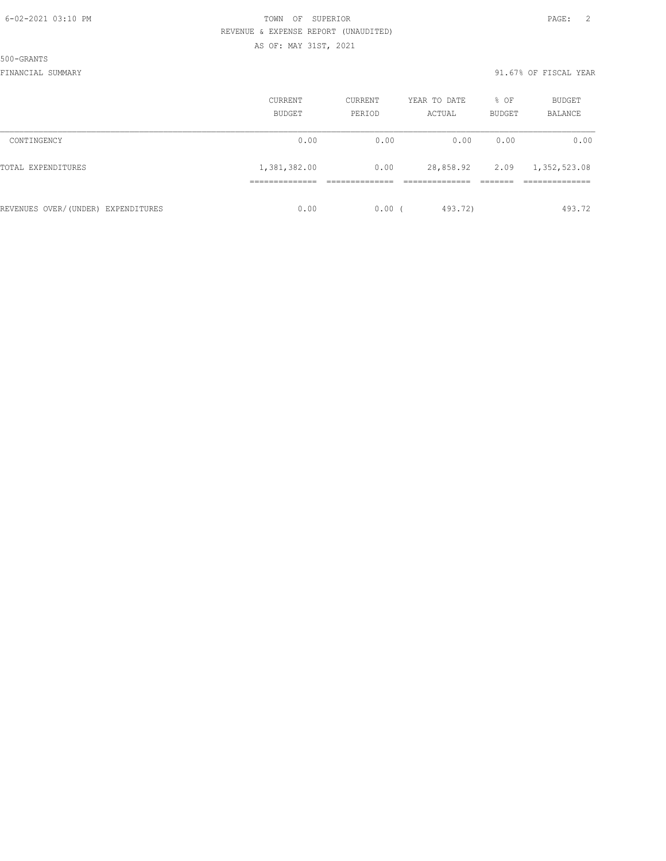500-GRANTS

|                                    | <b>CURRENT</b><br>BUDGET | CURRENT<br>PERIOD | YEAR TO DATE<br>ACTUAL | % OF<br>BUDGET | BUDGET<br><b>BALANCE</b> |
|------------------------------------|--------------------------|-------------------|------------------------|----------------|--------------------------|
| CONTINGENCY                        | 0.00                     | 0.00              | 0.00                   | 0.00           | 0.00                     |
| TOTAL EXPENDITURES                 | 1,381,382.00             | 0.00              | 28,858.92              | 2.09           | 1,352,523.08             |
|                                    |                          |                   |                        |                |                          |
| REVENUES OVER/(UNDER) EXPENDITURES | 0.00                     | 0.00(             | 493.72)                |                | 493.72                   |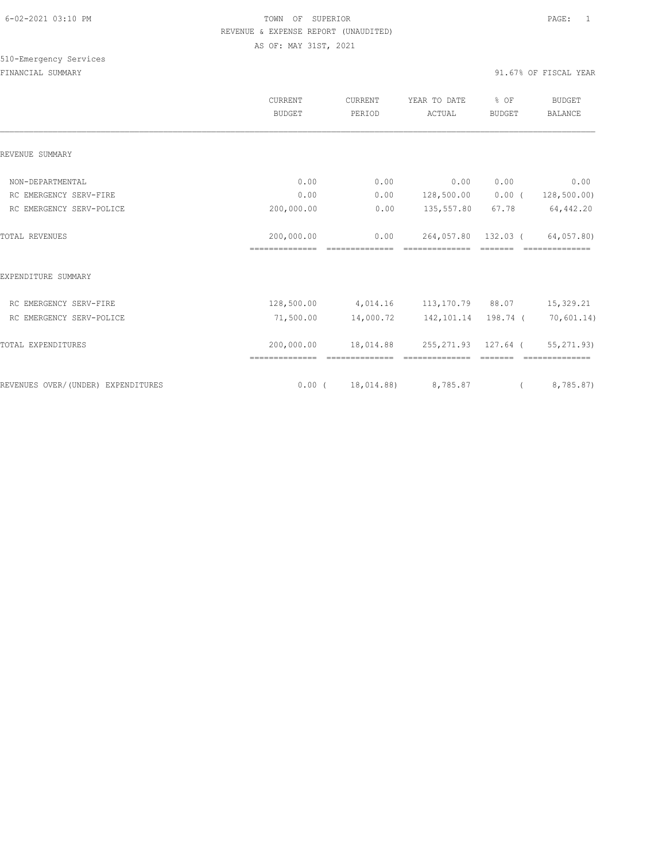|                                    | <b>CURRENT</b><br><b>BUDGET</b> | CURRENT<br>PERIOD      | YEAR TO DATE<br>ACTUAL       | % OF<br><b>BUDGET</b> | <b>BUDGET</b><br><b>BALANCE</b> |
|------------------------------------|---------------------------------|------------------------|------------------------------|-----------------------|---------------------------------|
| REVENUE SUMMARY                    |                                 |                        |                              |                       |                                 |
| NON-DEPARTMENTAL                   | 0.00                            | 0.00                   | 0.00                         | 0.00                  | 0.00                            |
| RC EMERGENCY SERV-FIRE             | 0.00                            | 0.00                   | 128,500.00                   | $0.00$ (              | 128, 500.00)                    |
| RC EMERGENCY SERV-POLICE           | 200,000.00                      | 0.00                   | 135,557.80                   | 67.78                 | 64,442.20                       |
| <b>TOTAL REVENUES</b>              | 200,000.00<br>==============    | 0.00<br>============== | 264,057.80<br>-------------- | 132.03 (<br>=======   | 64,057.80)<br>---------------   |
| EXPENDITURE SUMMARY                |                                 |                        |                              |                       |                                 |
| RC EMERGENCY SERV-FIRE             | 128,500.00                      | 4,014.16               | 113,170.79 88.07             |                       | 15,329.21                       |
| RC EMERGENCY SERV-POLICE           | 71,500.00                       | 14,000.72              | 142,101.14 198.74 (          |                       | 70,601.14)                      |
| TOTAL EXPENDITURES                 | 200,000.00                      | 18,014.88              | 255,271.93 127.64 (          |                       | 55, 271, 93)                    |
| REVENUES OVER/(UNDER) EXPENDITURES |                                 | 0.00(18,014.88)        | 8,785.87                     | $\left($              | 8,785.87)                       |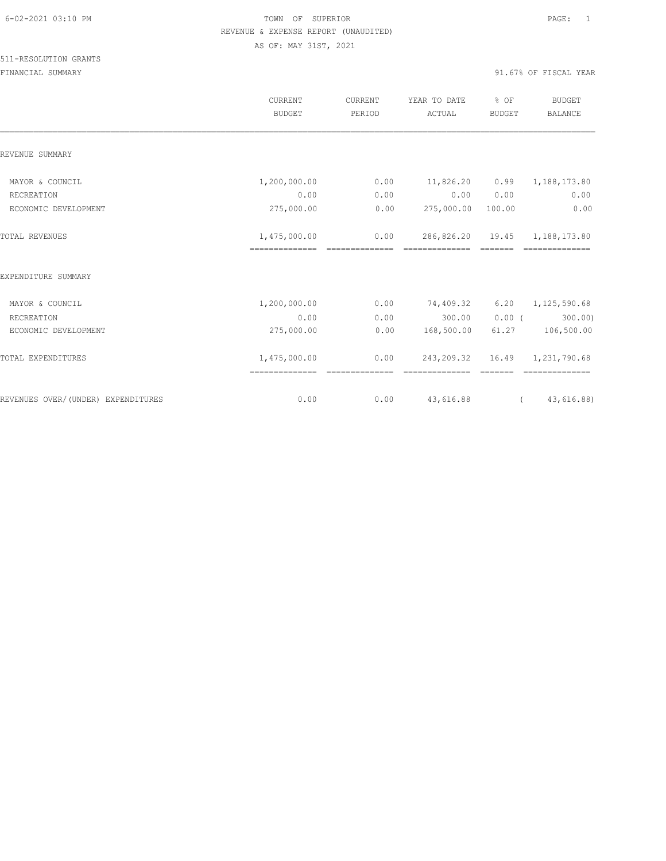|                                    | CURRENT<br><b>BUDGET</b> | CURRENT<br>PERIOD | YEAR TO DATE<br>ACTUAL | % OF<br><b>BUDGET</b> | <b>BUDGET</b><br><b>BALANCE</b> |
|------------------------------------|--------------------------|-------------------|------------------------|-----------------------|---------------------------------|
| REVENUE SUMMARY                    |                          |                   |                        |                       |                                 |
| MAYOR & COUNCIL                    | 1,200,000.00             | 0.00              | 11,826.20              | 0.99                  | 1,188,173.80                    |
| RECREATION                         | 0.00                     | 0.00              | 0.00                   | 0.00                  | 0.00                            |
| ECONOMIC DEVELOPMENT               | 275,000.00               | 0.00              | 275,000.00 100.00      |                       | 0.00                            |
| TOTAL REVENUES                     | 1,475,000.00             | 0.00              | 286,826.20             | 19.45                 | 1,188,173.80                    |
| EXPENDITURE SUMMARY                |                          |                   |                        |                       |                                 |
| MAYOR & COUNCIL                    | 1,200,000.00             | 0.00              | 74,409.32              | 6.20                  | 1,125,590.68                    |
| RECREATION                         | 0.00                     | 0.00              | 300.00                 | $0.00$ (              | 300.00)                         |
| ECONOMIC DEVELOPMENT               | 275,000.00               | 0.00              | 168,500.00             | 61.27                 | 106,500.00                      |
| TOTAL EXPENDITURES                 | 1,475,000.00             | 0.00              | 243,209.32             |                       | 16.49 1,231,790.68              |
| REVENUES OVER/(UNDER) EXPENDITURES | 0.00                     | 0.00              | 43,616.88              | $\left($              | 43,616.88)                      |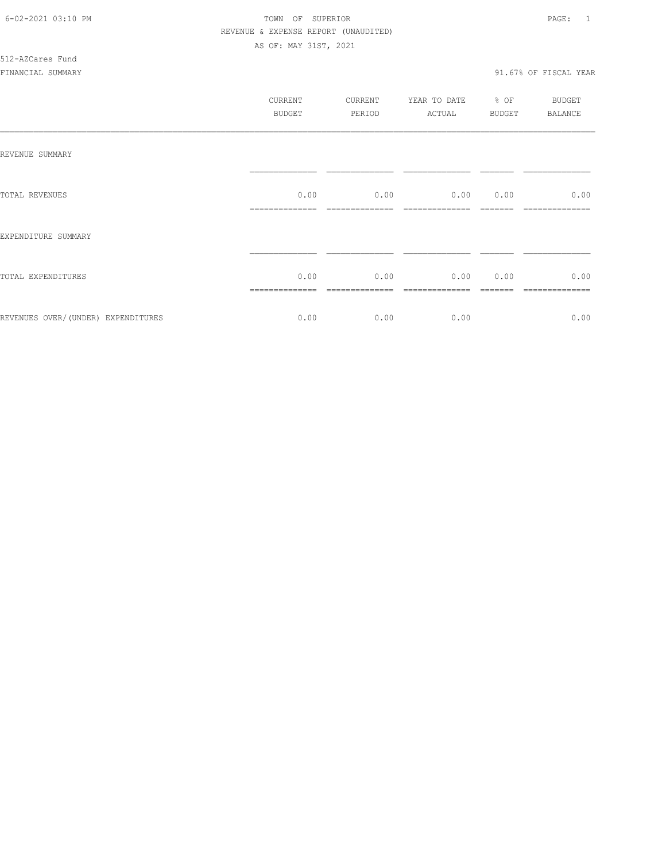# 512-AZCares Fund

|                                     | CURRENT<br><b>BUDGET</b> | CURRENT<br>PERIOD | YEAR TO DATE<br>ACTUAL | % OF<br>BUDGET | <b>BUDGET</b><br><b>BALANCE</b> |
|-------------------------------------|--------------------------|-------------------|------------------------|----------------|---------------------------------|
| REVENUE SUMMARY                     |                          |                   |                        |                |                                 |
| TOTAL REVENUES                      | 0.00                     | 0.00              | 0.00                   | 0.00           | 0.00                            |
| EXPENDITURE SUMMARY                 |                          |                   |                        |                |                                 |
| TOTAL EXPENDITURES                  | 0.00                     | 0.00              | 0.00                   | 0.00           | 0.00                            |
| REVENUES OVER/ (UNDER) EXPENDITURES | 0.00                     | 0.00              | 0.00                   |                | 0.00                            |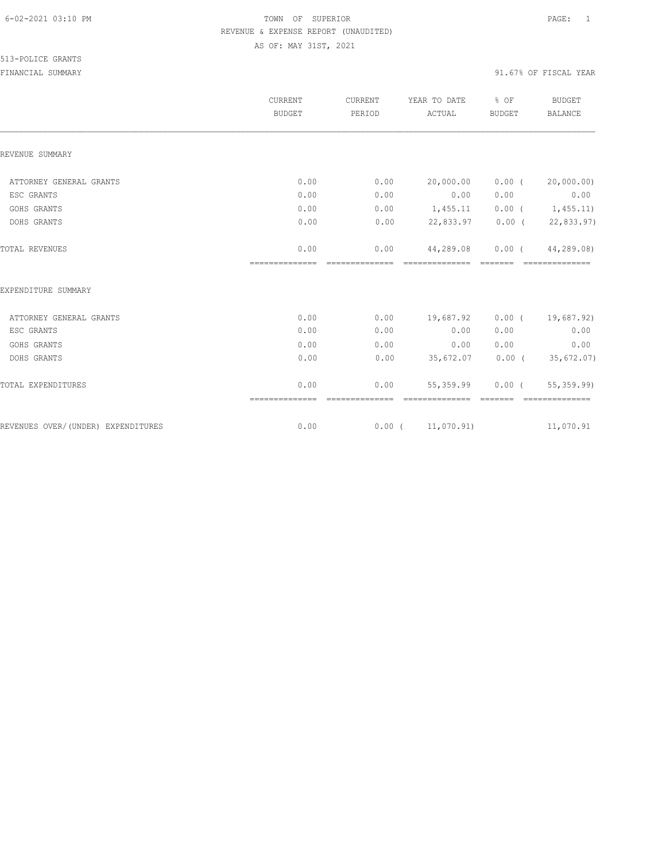|                                    | CURRENT<br><b>BUDGET</b> | CURRENT<br>PERIOD | YEAR TO DATE<br>ACTUAL       | % OF<br><b>BUDGET</b> | <b>BUDGET</b><br><b>BALANCE</b> |
|------------------------------------|--------------------------|-------------------|------------------------------|-----------------------|---------------------------------|
| REVENUE SUMMARY                    |                          |                   |                              |                       |                                 |
| ATTORNEY GENERAL GRANTS            | 0.00                     | 0.00              | 20,000.00                    | $0.00$ (              | 20,000.00)                      |
| ESC GRANTS                         | 0.00                     | 0.00              | 0.00                         | 0.00                  | 0.00                            |
| GOHS GRANTS                        | 0.00                     | 0.00              | 1,455.11                     |                       | $0.00$ ( $1,455.11$ )           |
| DOHS GRANTS                        | 0.00                     | 0.00              | 22,833.97                    |                       | $0.00$ ( 22,833.97)             |
| TOTAL REVENUES                     | 0.00<br>==============   | 0.00              | 44,289.08                    | $0.00$ (              | 44,289.08)<br>---------------   |
| EXPENDITURE SUMMARY                |                          |                   |                              |                       |                                 |
| ATTORNEY GENERAL GRANTS            | 0.00                     | 0.00              | 19,687.92                    |                       | $0.00$ ( 19,687.92)             |
| ESC GRANTS                         | 0.00                     | 0.00              | 0.00                         | 0.00                  | 0.00                            |
| GOHS GRANTS                        | 0.00                     | 0.00              | 0.00                         | 0.00                  | 0.00                            |
| DOHS GRANTS                        | 0.00                     | 0.00              | 35,672.07                    |                       | $0.00$ ( 35,672.07)             |
| TOTAL EXPENDITURES                 | 0.00<br>==============   | 0.00              | 55,359.99<br>--------------- | $0.00$ (<br>=======   | 55, 359.99)<br>--------------   |
| REVENUES OVER/(UNDER) EXPENDITURES | 0.00                     |                   | $0.00$ ( $11,070.91$ )       |                       | 11,070.91                       |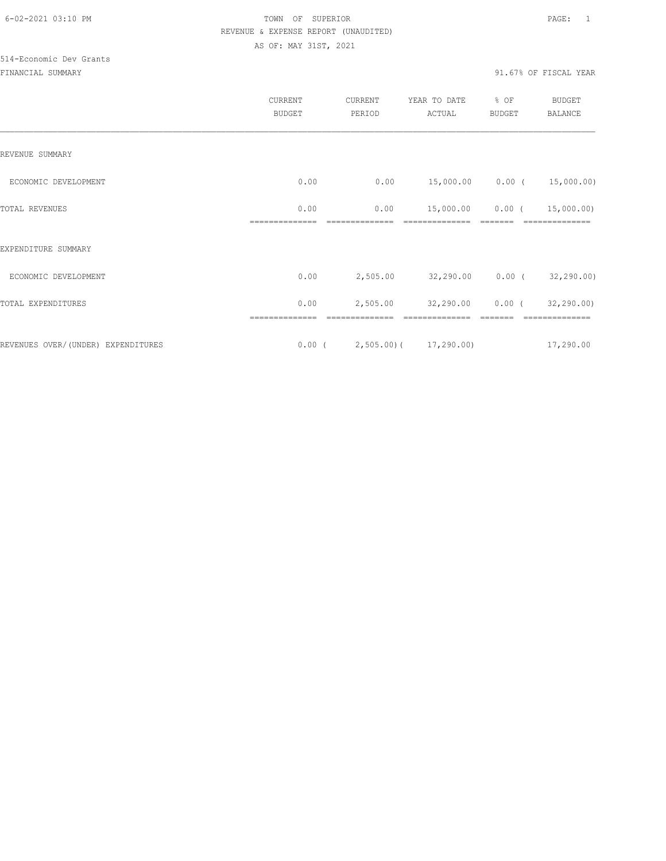# 514-Economic Dev Grants

|                                    | CURRENT<br><b>BUDGET</b> | CURRENT<br>PERIOD | YEAR TO DATE<br>ACTUAL            | % OF<br><b>BUDGET</b> | BUDGET<br><b>BALANCE</b> |
|------------------------------------|--------------------------|-------------------|-----------------------------------|-----------------------|--------------------------|
| REVENUE SUMMARY                    |                          |                   |                                   |                       |                          |
| ECONOMIC DEVELOPMENT               | 0.00                     | 0.00              | 15,000.00   0.00   (   15,000.00) |                       |                          |
| TOTAL REVENUES                     | 0.00                     | 0.00              | 15,000.00                         | $0.00$ (              | 15,000.00)               |
| EXPENDITURE SUMMARY                |                          |                   |                                   |                       |                          |
| ECONOMIC DEVELOPMENT               | 0.00                     | 2,505.00          | 32,290.00 0.00 (32,290.00)        |                       |                          |
| TOTAL EXPENDITURES                 | 0.00                     | 2,505.00          | 32,290.00                         | $0.00$ (              | 32,290.00)               |
|                                    |                          |                   |                                   |                       |                          |
| REVENUES OVER/(UNDER) EXPENDITURES | $0.00$ (                 |                   | 2,505.00) (17,290.00)             |                       | 17,290.00                |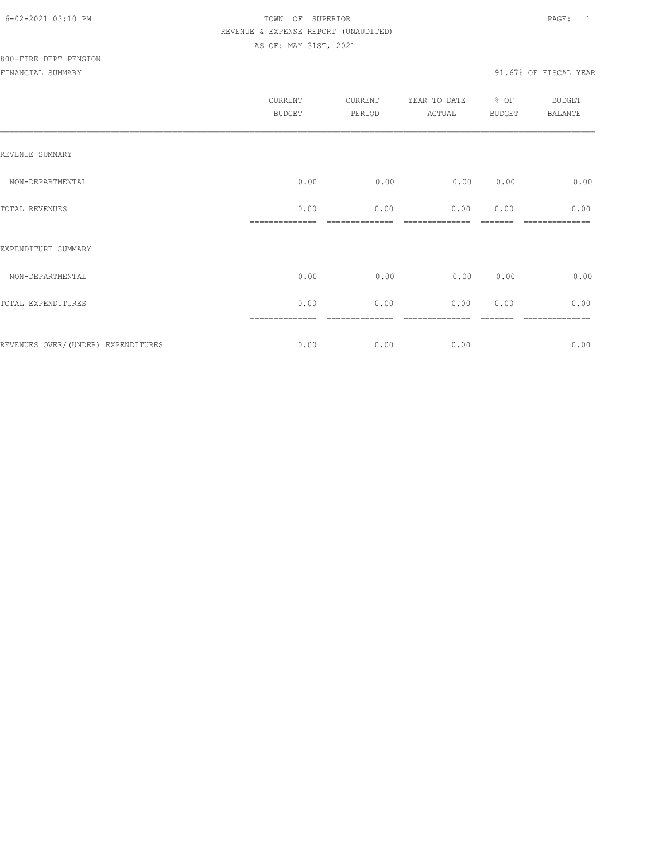| CURRENT<br><b>BUDGET</b> | CURRENT<br>PERIOD | YEAR TO DATE<br>ACTUAL | BUDGET | <b>BUDGET</b><br>BALANCE |
|--------------------------|-------------------|------------------------|--------|--------------------------|
|                          |                   |                        |        |                          |
| 0.00                     | 0.00              | 0.00                   | 0.00   | 0.00                     |
| 0.00                     | 0.00              | 0.00                   | 0.00   | 0.00                     |
|                          |                   |                        |        |                          |
| 0.00                     | 0.00              | 0.00                   | 0.00   | 0.00                     |
| 0.00                     | 0.00              | 0.00                   | 0.00   | 0.00                     |
| 0.00                     | 0.00              | 0.00                   |        | -----------<br>0.00      |
|                          | ==============    |                        |        | % OF                     |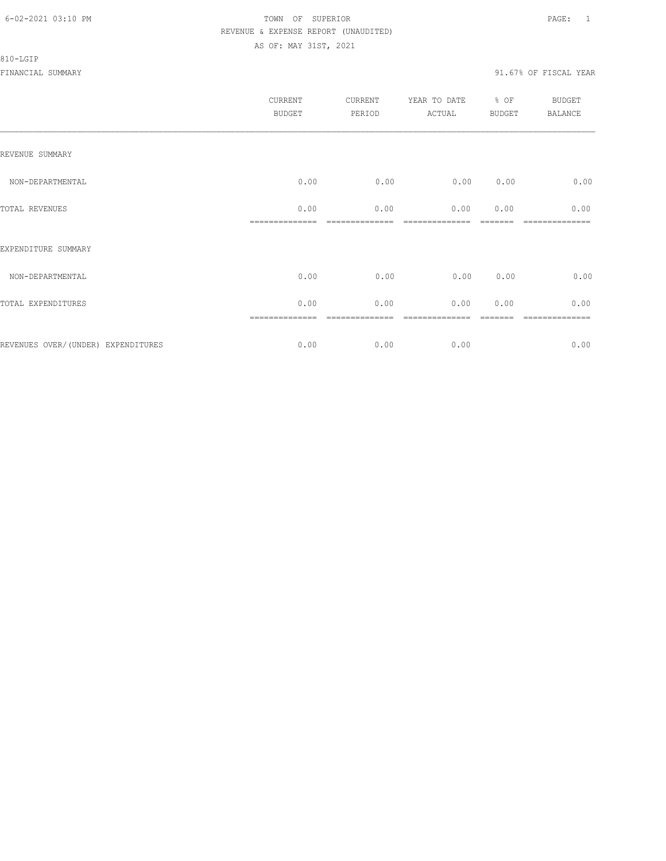#### 810-LGIP

| CURRENT<br><b>BUDGET</b> | CURRENT<br>PERIOD | YEAR TO DATE<br>ACTUAL | BUDGET | <b>BUDGET</b><br>BALANCE |
|--------------------------|-------------------|------------------------|--------|--------------------------|
|                          |                   |                        |        |                          |
| 0.00                     | 0.00              | 0.00                   | 0.00   | 0.00                     |
| 0.00                     | 0.00              | 0.00                   | 0.00   | 0.00                     |
|                          |                   |                        |        |                          |
| 0.00                     | 0.00              | 0.00                   | 0.00   | 0.00                     |
| 0.00                     | 0.00              | 0.00                   | 0.00   | 0.00                     |
| 0.00                     | 0.00              | 0.00                   |        | -----------<br>0.00      |
|                          | ==============    |                        |        | % OF                     |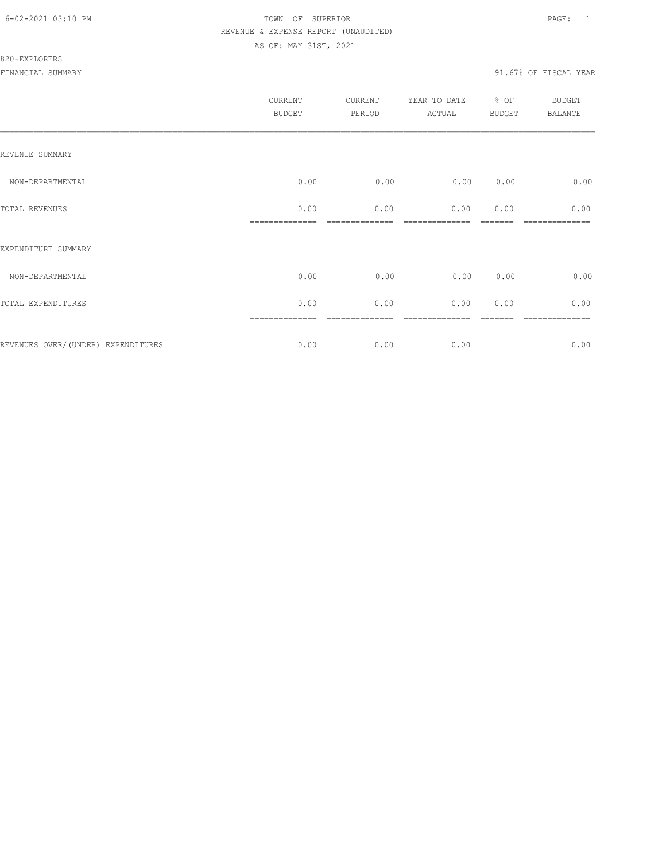|                                    | CURRENT<br><b>BUDGET</b> | CURRENT<br>PERIOD   | YEAR TO DATE<br>ACTUAL | $\div$ OF<br>BUDGET | BUDGET<br>BALANCE    |
|------------------------------------|--------------------------|---------------------|------------------------|---------------------|----------------------|
| REVENUE SUMMARY                    |                          |                     |                        |                     |                      |
| NON-DEPARTMENTAL                   | 0.00                     | 0.00                | 0.00                   | 0.00                | 0.00                 |
| TOTAL REVENUES                     | 0.00<br>==============   | 0.00<br>----------- | 0.00                   | 0.00                | 0.00<br>============ |
| EXPENDITURE SUMMARY                |                          |                     |                        |                     |                      |
| NON-DEPARTMENTAL                   | 0.00                     | 0.00                | 0.00                   | 0.00                | 0.00                 |
| TOTAL EXPENDITURES                 | 0.00                     | 0.00                | 0.00                   | 0.00                | 0.00                 |
|                                    |                          |                     |                        |                     | ========             |
| REVENUES OVER/(UNDER) EXPENDITURES | 0.00                     | 0.00                | 0.00                   |                     | 0.00                 |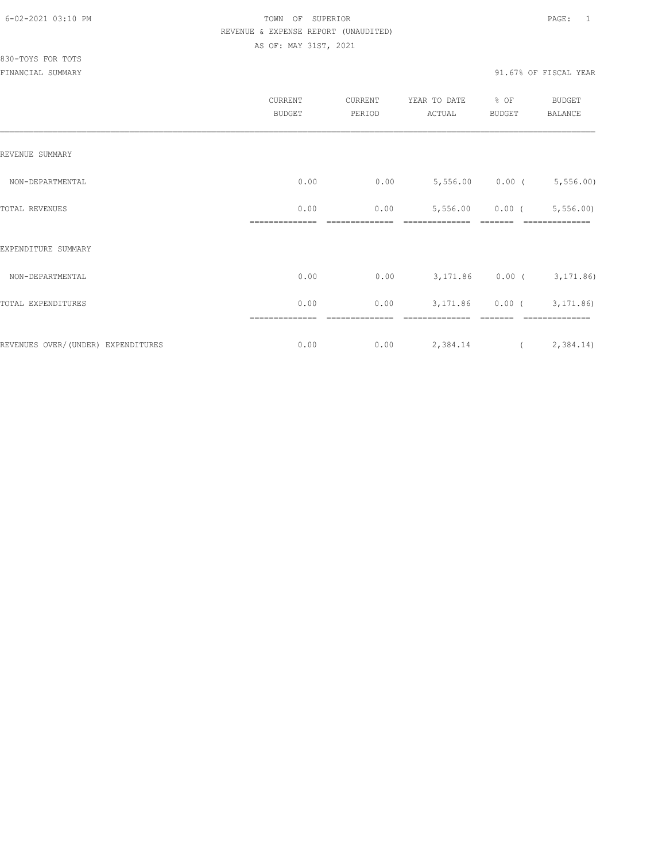|                                    | CURRENT<br><b>BUDGET</b> | CURRENT<br>PERIOD | YEAR TO DATE<br>ACTUAL      | % OF<br>BUDGET    | BUDGET<br>BALANCE |
|------------------------------------|--------------------------|-------------------|-----------------------------|-------------------|-------------------|
| REVENUE SUMMARY                    |                          |                   |                             |                   |                   |
| NON-DEPARTMENTAL                   | 0.00                     | 0.00              | $5,556.00$ 0.00 ( 5,556.00) |                   |                   |
| TOTAL REVENUES                     | 0.00                     | 0.00              |                             | $5,556.00$ 0.00 ( | 5,556.00          |
| EXPENDITURE SUMMARY                |                          |                   |                             |                   |                   |
| NON-DEPARTMENTAL                   | 0.00                     | 0.00              | 3, 171.86 0.00 (3, 171.86)  |                   |                   |
| TOTAL EXPENDITURES                 | 0.00                     | 0.00              |                             | $3,171.86$ 0.00 ( | 3,171.86)         |
| REVENUES OVER/(UNDER) EXPENDITURES | 0.00                     | 0.00              | 2,384.14                    |                   | (2, 384.14)       |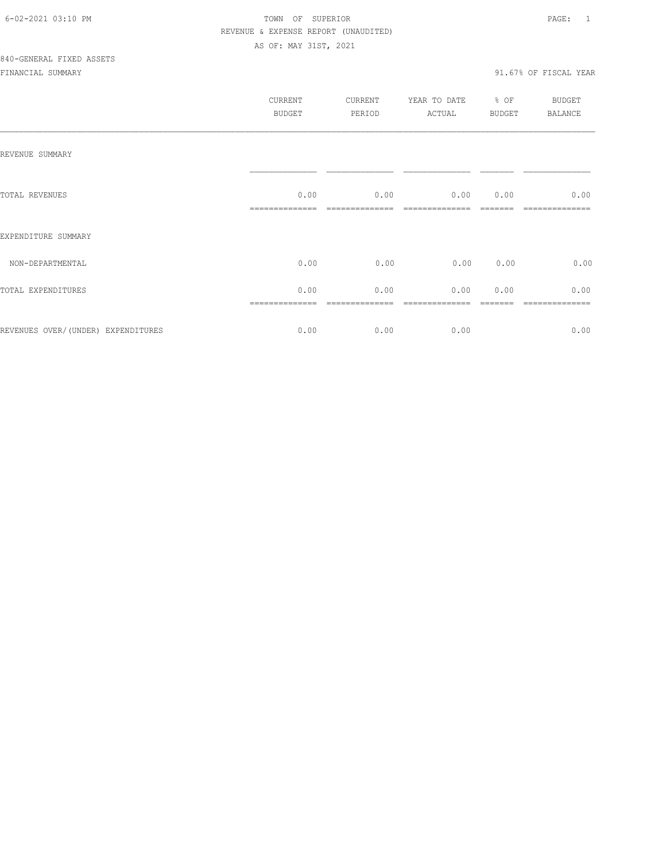|                                    | CURRENT<br><b>BUDGET</b> | CURRENT<br>PERIOD | YEAR TO DATE<br>ACTUAL | $%$ OF<br><b>BUDGET</b> | <b>BUDGET</b><br>BALANCE |
|------------------------------------|--------------------------|-------------------|------------------------|-------------------------|--------------------------|
| REVENUE SUMMARY                    |                          |                   |                        |                         |                          |
| TOTAL REVENUES                     | 0.00                     | 0.00              | $0.00$ $0.00$          |                         | 0.00                     |
| EXPENDITURE SUMMARY                |                          |                   |                        |                         |                          |
| NON-DEPARTMENTAL                   | 0.00                     | 0.00              | 0.00                   | 0.00                    | 0.00                     |
| TOTAL EXPENDITURES                 | 0.00                     | 0.00              | 0.00                   | 0.00                    | 0.00                     |
| REVENUES OVER/(UNDER) EXPENDITURES | 0.00                     | 0.00              | 0.00                   |                         | 0.00                     |